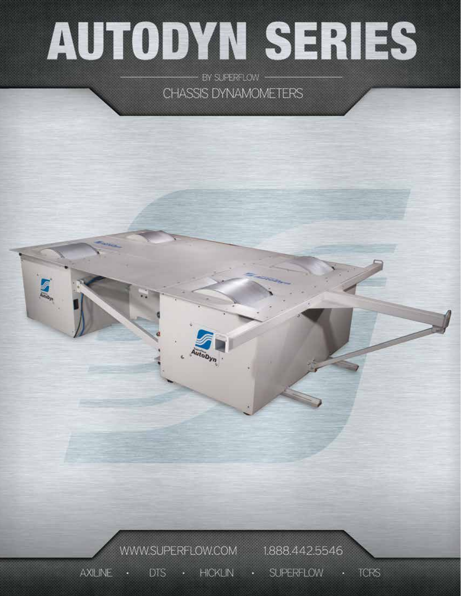# AUTODYN SERIES

- BY SUPERFLOW CHASSIS DYNAMOMETERS

WWW.SUPERFLOW.COM 1.888.442.5546 · DTS · HICKLIN · SUPERFLOW · TCRS **AXILINE**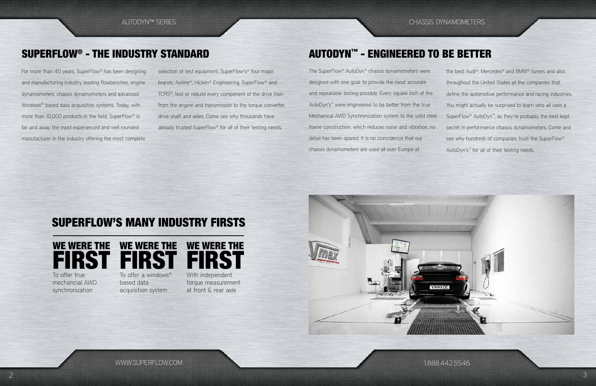WWW.SUPERFLOW.COM

# SUPERFLOW'S MANY INDUSTRY FIRSTS







mechancial AWD synchronization

To offer a windows® based data

acquisition system

With independent torque measurement at front & rear axle



For more than 40 years, SuperFlow® has been designing and manufacturing industry leading flowbenches, engine dynamometers, chassis dynamometers and advanced Windows® based data acquisition systems. Today, with more than 10,000 products in the field, SuperFlow® is far and away the most experienced and well rounded manufacturer in the industry offering the most complete selection of test equipment. SuperFlow's<sup>®</sup> four major brands, Axiline®, Hicklin® Engineering, SuperFlow® and TCRS®, test or rebuild every component of the drive train from the engine and transmission to the torque converter, drive shaft and axles. Come see why thousands have already trusted SuperFlow® for all of their testing needs.

AUTODYN™ SERIES CHASSIS DYNAMOMETERS

# SUPERFLOW® - THE INDUSTRY STANDARD

The SuperFlow® AutoDyn™ chassis dynamometers were designed with one goal: to provide the most accurate and repeatable testing possible. Every square inch of the AutoDyn's™ were engineered to be better from the true Mechanical AWD Synchronization system to the solid steel frame construction, which reduces noise and vibration, no detail has been spared. It is no coincidence that our chassis dynamometers are used all over Europe at

the best Audi®, Mercedes® and BMW® tuners and also throughout the United States at the companies that define the automotive performance and racing industries. You might actually be surprised to learn who all uses a SuperFlow® AutoDyn™, as they're probably the best kept secret in performance chassis dynamometers. Come and see why hundreds of companies trust the SuperFlow® AutoDyn's™ for all of their testing needs.

# AUTODYN™ - ENGINEERED TO BE BETTER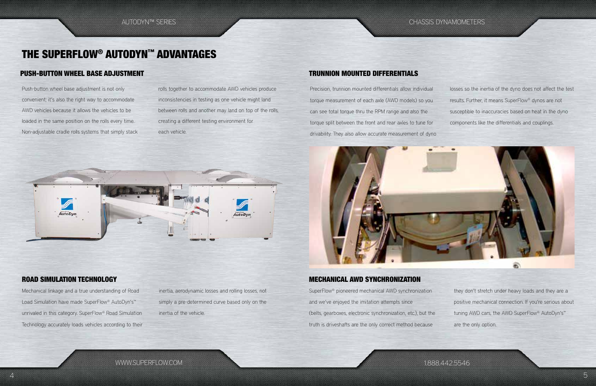WWW.SUPERFLOW.COM

1.888.442.5546

Precision, trunnion mounted differentials allow individual torque measurement of each axle (AWD models) so you can see total torque thru the RPM range and also the torque split between the front and rear axles to tune for drivability. They also allow accurate measurement of dyno



## ROAD SIMULATION TECHNOLOGY NEWSLOAD SERVER THE MECHANICAL AWD SYNCHRONIZATION

losses so the inertia of the dyno does not affect the test results. Further, it means SuperFlow® dynos are not susceptible to inaccuracies based on heat in the dyno components like the differentials and couplings.

Mechanical linkage and a true understanding of Road Load Simulation have made SuperFlow® AutoDyn's™ unrivaled in this category. SuperFlow® Road Simulation Technology accurately loads vehicles according to their inertia, aerodynamic losses and rolling losses, not simply a pre-determined curve based only on the inertia of the vehicle.

SuperFlow® pioneered mechanical AWD synchronization and we've enjoyed the imitation attempts since (belts, gearboxes, electronic synchronization, etc.), but the truth is driveshafts are the only correct method because

lutoDur

they don't stretch under heavy loads and they are a positive mechanical connection. If you're serious about tuning AWD cars, the AWD SuperFlow® AutoDyn's™ are the only option.

Push-button wheel base adjustment is not only convenient; it's also the right way to accommodate AWD vehicles because it allows the vehicles to be loaded in the same position on the rolls every time. Non-adjustable cradle rolls systems that simply stack rolls together to accommodate AWD vehicles produce inconsistencies in testing as one vehicle might land between rolls and another may land on top of the rolls, creating a different testing environment for each vehicle.

utoDvi

AUTODYN™ SERIES CHASSIS DYNAMOMETERS

# THE SUPERFLOW® AUTODYN™ ADVANTAGES

## TRUNNION MOUNTED DIFFERENTIALS

## PUSH-BUTTON WHEEL BASE ADJUSTMENT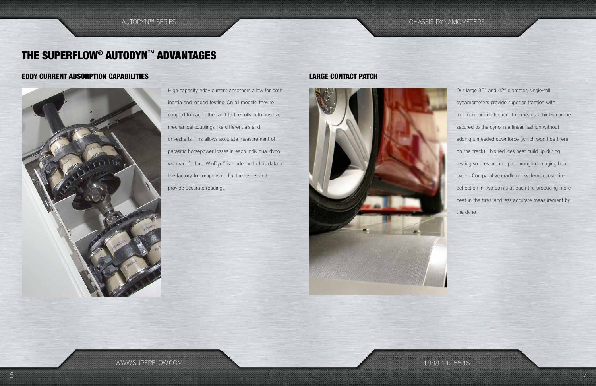1.888.442.5546

High capacity eddy current absorbers allow for both inertia and loaded testing. On all models, they're coupled to each other and to the rolls with positive mechanical couplings like differentials and driveshafts. This allows accurate measurement of parasitic horsepower losses in each individual dyno we manufacture. WinDyn® is loaded with this data at the factory to compensate for the losses and provide accurate readings.



Our large 30" and 42" diameter, single-roll dynamometers provide superior traction with minimum tire deflection. This means vehicles can be secured to the dyno in a linear fashion without adding unneeded downforce (which won't be there on the track). This reduces heat build-up during testing so tires are not put through damaging heat cycles. Comparative cradle roll systems cause tire deflection in two points at each tire producing more heat in the tires, and less accurate measurement by the dyno.

## EDDY CURRENT ABSORPTION CAPABILITIES LARGE CONTACT PATCH



AUTODYN™ SERIES CHASSIS DYNAMOMETERS

# THE SUPERFLOW® AUTODYN™ ADVANTAGES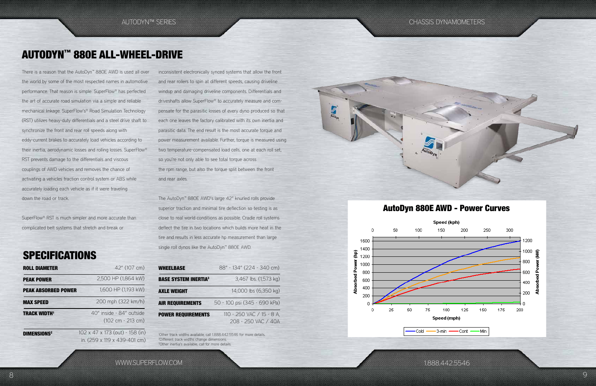WWW.SUPERFLOW.COM

### Speed (kph) 150 200 250 300 1200 (KW) 1000 800 চ å 600 400 ਟੋ 200 125 150 175 200 100 Speed (mph)

-3-min -Cont -Min

1.888.442.5546

There is a reason that the AutoDyn™ 880E AWD is used all over the world by some of the most respected names in automotive performance. That reason is simple: SuperFlow® has perfected the art of accurate road simulation via a simple and reliable mechanical linkage. SuperFlow's® Road Simulation Technology (RST) utilizes heavy-duty differentials and a steel drive shaft to synchronize the front and rear roll speeds along with eddy-current brakes to accurately load vehicles according to their inertia, aerodynamic losses and rolling losses. SuperFlow® RST prevents damage to the differentials and viscous couplings of AWD vehicles and removes the chance of activating a vehicles traction control system or ABS while accurately loading each vehicle as if it were traveling down the road or track.

SuperFlow® RST is much simpler and more accurate than complicated belt systems that stretch and break or

## **SPECIFICATIONS**

# AUTODYN™ 880E ALL-WHEEL-DRIVE

inconsistent electronically synced systems that allow the front and rear rollers to spin at different speeds, causing driveline windup and damaging driveline components. Differentials and driveshafts allow SuperFlow® to accurately measure and compensate for the parasitic losses of every dyno produced so that each one leaves the factory calibrated with its own inertia and parasitic data. The end result is the most accurate torque and power measurement available. Further, torque is measured using two temperature-compensated load cells, one at each roll set, so you're not only able to see total torque across the rpm range, but also the torque split between the front and rear axles.

The AutoDyn™ 880E AWD's large 42" knurled rolls provide superior traction and minimal tire deflection so testing is as close to real world conditions as possible. Cradle roll systems deflect the tire in two locations which builds more heat in the tire and results in less accurate hp measurement than large single roll dynos like the AutoDyn™ 880E AWD.

1 Other track widths available, call 1.888.442.5546 for more details. 2 Different track widths change dimensions. 3 Other inertia's available, call for more details.



| <b>ROLL DIAMETER</b>          | 42" (107 cm)                                                    |
|-------------------------------|-----------------------------------------------------------------|
| <b>PEAK POWER</b>             | 2,500 HP (1,864 kW)                                             |
| <b>PEAK ABSORBED POWER</b>    | 1,600 HP (1,193 kW)                                             |
| <b>MAX SPEED</b>              | 200 mph (322 km/h)                                              |
| <b>TRACK WIDTH'</b>           | 40" inside - 84" outside<br>$(102 cm - 213 cm)$                 |
| <b>DIMENSIONS<sup>2</sup></b> | 102 x 47 x 173 (out) - 158 (in)<br>in. (259 x 119 x 439-401 cm) |

| <b>WHEELBASE</b>            | 88" - 134" (224 - 340 cm)                        |
|-----------------------------|--------------------------------------------------|
| <b>BASE SYSTEM INERTIA3</b> | 3,467 lbs. (1,573 kg)                            |
| <b>AXLE WEIGHT</b>          | 14,000 lbs (6,350 kg)                            |
| <b>AIR REQUIREMENTS</b>     | 50 - 100 psi (345 - 690 kPa)                     |
| <b>POWER REQUIREMENTS</b>   | 110 - 250 VAC / 15 - 8 A,<br>208 - 250 VAC / 40A |

## AutoDyn 880E AWD - Power Curves

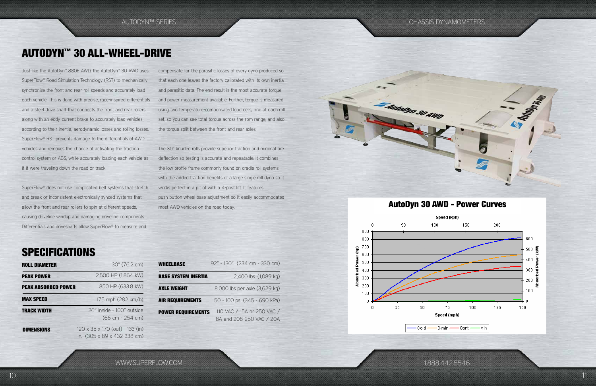1.888.442.5546

Just like the AutoDyn™ 880E AWD, the AutoDyn™ 30 AWD uses SuperFlow® Road Simulation Technology (RST) to mechanically synchronize the front and rear roll speeds and accurately load each vehicle. This is done with precise, race-inspired differentials and a steel drive shaft that connects the front and rear rollers along with an eddy-current brake to accurately load vehicles according to their inertia, aerodynamic losses and rolling losses. SuperFlow® RST prevents damage to the differentials of AWD vehicles and removes the chance of activating the traction control system or ABS, while accurately loading each vehicle as if it were traveling down the road or track.

SuperFlow® does not use complicated belt systems that stretch and break or inconsistent electronically synced systems that allow the front and rear rollers to spin at different speeds, causing driveline windup and damaging driveline components. Differentials and driveshafts allow SuperFlow® to measure and

# AUTODYN™ 30 ALL-WHEEL-DRIVE

compensate for the parasitic losses of every dyno produced so that each one leaves the factory calibrated with its own inertia and parasitic data. The end result is the most accurate torque and power measurement available. Further, torque is measured using two temperature-compensated load cells, one at each roll set, so you can see total torque across the rpm range, and also the torque split between the front and rear axles.

The 30" knurled rolls provide superior traction and minimal tire deflection so testing is accurate and repeatable. It combines the low profile frame commonly found on cradle roll systems with the added traction benefits of a large single roll dyno so it works perfect in a pit of with a 4-post lift. It features push-button wheel base adjustment so it easily accommodates most AWD vehicles on the road today.

# **SPECIFICATIONS**

| <b>WHEELBASE</b>           | 92" - 130" (234 cm - 330 cm)                           |
|----------------------------|--------------------------------------------------------|
| <b>BASE SYSTEM INERTIA</b> | 2,400 lbs. (1,089 kg)                                  |
| <b>AXLE WEIGHT</b>         | 8,000 lbs per axle (3,629 kg)                          |
| <b>AIR REQUIREMENTS</b>    | 50 - 100 psi (345 - 690 kPa)                           |
| <b>POWER REQUIREMENTS</b>  | 110 VAC / 15A or 250 VAC /<br>8A and 208-250 VAC / 20A |





| <b>ROLL DIAMETER</b>       | 30" (76.2 cm)                                                  |
|----------------------------|----------------------------------------------------------------|
| <b>PEAK POWER</b>          | 2,500 HP (1,864 kW)                                            |
| <b>PEAK ABSORBED POWER</b> | 850 HP (633.8 kW)                                              |
| <b>MAX SPEED</b>           | 175 mph (282 km/h)                                             |
| <b>TRACK WIDTH</b>         | 26" inside - 100" outside<br>(66 cm - 254 cm)                  |
| <b>DIMENSIONS</b>          | 120 x 35 x 170 (out) - 133 (in)<br>in. (305 x 89 x 432-338 cm) |

## AutoDyn 30 AWD - Power Curves

Speed (kph)

 $-$  Cont  $\overline{a}$ - Min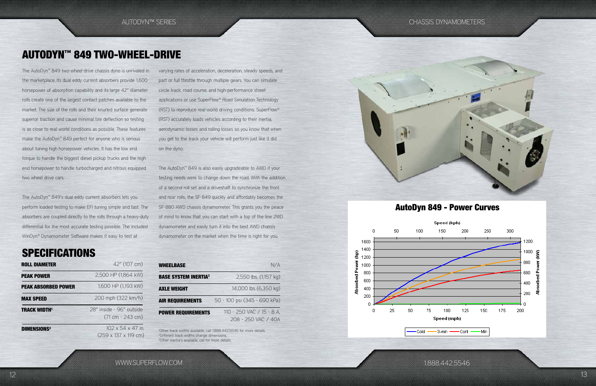WWW.SUPERFLOW.COM

 $-3$ -min -Cont Min

1.888.442.5546

The AutoDyn™ 849 two-wheel-drive chassis dyno is unrivaled in the marketplace. Its dual eddy current absorbers provide 1,600 horsepower of absorption capability and its large 42" diameter rolls create one of the largest contact patches available to the market. The size of the rolls and their knurled surface generate superior traction and cause minimal tire deflection so testing is as close to real world conditions as possible. These features make the AutoDyn™ 849 perfect for anyone who is serious about tuning high horsepower vehicles. It has the low end torque to handle the biggest diesel pickup trucks and the high end horsepower to handle turbocharged and nitrous equipped two wheel drive cars.

The AutoDyn™ 849's dual eddy current absorbers lets you perform loaded testing to make EFI tuning simple and fast. The absorbers are coupled directly to the rolls through a heavy-duty differential for the most accurate testing possible. The included WinDyn® Dynamometer Software makes it easy to test at

# **SPECIFICATIONS**

# AUTODYN™ 849 TWO-WHEEL-DRIVE

varying rates of acceleration, deceleration, steady speeds, and part or full throttle through multiple gears. You can simulate circle track, road course, and high-performance street applications or use SuperFlow® Road Simulation Technology (RST) to reproduce real-world driving conditions. SuperFlow® (RST) accurately loads vehicles according to their inertia, aerodynamic losses and rolling losses so you know that when you get to the track your vehicle will perform just like it did on the dyno.

The AutoDyn™ 849 is also easily upgradeable to AWD if your testing needs were to change down the road. With the addition of a second roll set and a driveshaft to synchronize the front and rear rolls, the SF-849 quickly and affordably becomes the SF-880 AWD chassis dynamometer. This grants you the peace of mind to know that you can start with a top of the line 2WD dynamometer and easily turn it into the best AWD chassis dynamometer on the market when the time is right for you.

| <b>WHEELBASE</b>            | N/A                                              |
|-----------------------------|--------------------------------------------------|
| <b>BASE SYSTEM INERTIA3</b> | 2,550 lbs. (1,157 kg)                            |
| <b>AXLE WEIGHT</b>          | 14,000 lbs (6,350 kg)                            |
| <b>AIR REQUIREMENTS</b>     | 50 - 100 psi (345 - 690 kPa)                     |
| <b>POWER REQUIREMENTS</b>   | 110 - 250 VAC / 15 - 8 A,<br>208 - 250 VAC / 40A |

| <b>ROLL DIAMETER</b>          | 42" (107 cm)                                   |
|-------------------------------|------------------------------------------------|
| <b>PEAK POWER</b>             | 2,500 HP (1,864 kW)                            |
| <b>PEAK ABSORBED POWER</b>    | 1,600 HP (1,193 kW)                            |
| <b>MAX SPEED</b>              | 200 mph (322 km/h)                             |
| <b>TRACK WIDTH1</b>           | 28" inside - 96" outside<br>$(71 cm - 243 cm)$ |
| <b>DIMENSIONS<sup>2</sup></b> | 102 x 54 x 47 in.<br>(259 x 137 x 119 cm)      |

1 Other track widths available, call 1.888.442.5546 for more details. 2 Different track widths change dimensions. 3 Other inertia's available, call for more details.



## AutoDyn 849 - Power Curves

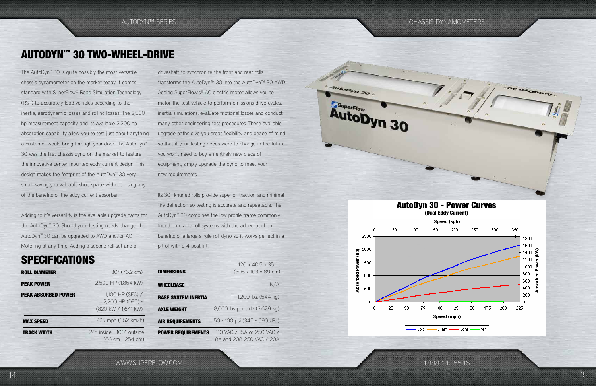Autobyn 30

SuperFlow

AutoDyn 30

AUTODYN™ SERIES CHASSIS DYNAMOMETERS

WWW.SUPERFLOW.COM

1.888.442.5546

OE UAGOINT

The AutoDyn™ 30 is quite possibly the most versatile chassis dynamometer on the market today. It comes standard with SuperFlow® Road Simulation Technology (RST) to accurately load vehicles according to their inertia, aerodynamic losses and rolling losses. The 2,500 hp measurement capacity and its available 2,200 hp absorption capability allow you to test just about anything a customer would bring through your door. The AutoDyn™ 30 was the first chassis dyno on the market to feature the innovative center mounted eddy current design. This design makes the footprint of the AutoDyn™ 30 very small, saving you valuable shop space without losing any of the benefits of the eddy current absorber.

Adding to it's versatility is the available upgrade paths for the AutoDyn™ 30. Should your testing needs change, the AutoDyn™ 30 can be upgraded to AWD and/or AC Motoring at any time. Adding a second roll set and a

# **SPECIFICATIONS**

# AUTODYN™ 30 TWO-WHEEL-DRIVE

driveshaft to synchronize the front and rear rolls transforms the AutoDyn™ 30 into the AutoDyn™ 30 AWD. Adding SuperFlow's<sup>®</sup> AC electric motor allows you to motor the test vehicle to perform emissions drive cycles, inertia simulations, evaluate frictional losses and conduct many other engineering test procedures. These available upgrade paths give you great flexibility and peace of mind so that if your testing needs were to change in the future you won't need to buy an entirely new piece of equipment, simply upgrade the dyno to meet your new requirements.

Its 30" knurled rolls provide superior traction and minimal tire deflection so testing is accurate and repeatable. The AutoDyn™ 30 combines the low profile frame commonly found on cradle roll systems with the added traction benefits of a large single roll dyno so it works perfect in a pit of with a 4-post lift.

| <b>ROLL DIAMETER</b>       | 30" (76.2 cm)                                 | <b>DIMENSIONS</b>          |
|----------------------------|-----------------------------------------------|----------------------------|
| <b>PEAK POWER</b>          | 2,500 HP (1,864 kW)                           | <b>WHEELBASE</b>           |
| <b>PEAK ABSORBED POWER</b> | 1,100 HP (SEC) /<br>2,200 HP (DEC) -          | <b>BASE SYSTEM INERTIA</b> |
|                            | (820 kW / 1,641 kW)                           | <b>AXLE WEIGHT</b>         |
| <b>MAX SPEED</b>           | 225 mph (362 km/h)                            | <b>AIR REQUIREMENTS</b>    |
| <b>TRACK WIDTH</b>         | 26" inside - 100" outside<br>(66 cm - 254 cm) | <b>POWER REQUIREMENTS</b>  |

| 30" (76.2 cm)                                 | <b>DIMENSIONS</b>          | 120 x 40.5 x 35 in.<br>$(305 \times 103 \times 89 \text{ cm})$ |
|-----------------------------------------------|----------------------------|----------------------------------------------------------------|
| 2,500 HP (1,864 kW)                           | <b>WHEELBASE</b>           | N/A                                                            |
| 1,100 HP (SEC) /<br>2,200 HP (DEC) -          | <b>BASE SYSTEM INERTIA</b> | 1,200 lbs. (544 kg)                                            |
| (820 kW / 1,641 kW)                           | <b>AXLE WEIGHT</b>         | 8,000 lbs per axle (3,629 kg)                                  |
| 225 mph (362 km/h)                            | <b>AIR REQUIREMENTS</b>    | 50 - 100 psi (345 - 690 kPa)                                   |
| " inside - 100" outside<br>$(66 cm - 254 cm)$ | <b>POWER REQUIREMENTS</b>  | 110 VAC / 15A or 250 VAC /<br>8A and 208-250 VAC / 20A         |

# AutoDyn 30 - Power Curves

-3-min -Cont Min

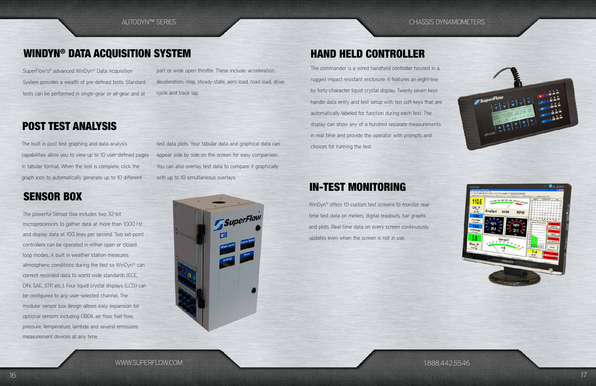1.888.442.5546





SuperFlow's® advanced WinDyn® Data Acquisition System provides a wealth of pre-defined tests. Standard tests can be performed in single-gear or all-gear and at

> test data plots. Your tabular data and graphical data can appear side by side on the screen for easy comparison. You can also overlay test data to compare it graphically with up to 10 simultaneous overlays.

> > WinDyn® offers 10 custom test screens to monitor realtime test data on meters, digital readouts, bar graphs and plots. Real-time data on every screen continuously updates even when the screen is not in use.

The built in post test graphing and data analysis capabilities allow you to view up to 10 user-defined pages in tabular format. When the test is complete, click the graph icon to automatically generate up to 10 different

The powerful Sensor Box includes two 32-bit microprocessors to gather data at more than 1000 Hz and display data at 100 lines per second. Two set-point controllers can be operated in either open or closed loop modes. A built in weather station measures atmospheric conditions during the test so WinDyn® can correct recorded data to world wide standards (ECE, DIN, SAE, STP, etc.). Four liquid crystal displays (LCD) can be configured to any user-selected channel. The modular sensor box design allows easy expansion for optional sensors including OBDII, air flow, fuel flow, pressure, temperature, lambda and several emissions measurement devices at any time.

# WINDYN® DATA ACQUISITION SYSTEM

# IN-TEST MONITORING

POST TEST ANALYSIS

# SENSOR BOX

# HAND HELD CONTROLLER

part or wide open throttle. These include: acceleration,

deceleration, step, steady-state, aero load, road load, drive



cycle and track lap.

The commander is a wired handheld controller housed in a rugged impact resistant enclosure. It features an eight-line by forty-character liquid crystal display. Twenty seven keys handle data entry and test setup with ten soft-keys that are automatically labeled for function during each test. The display can show any of a hundred separate measurements in real time and provide the operator with prompts and choices for running the test.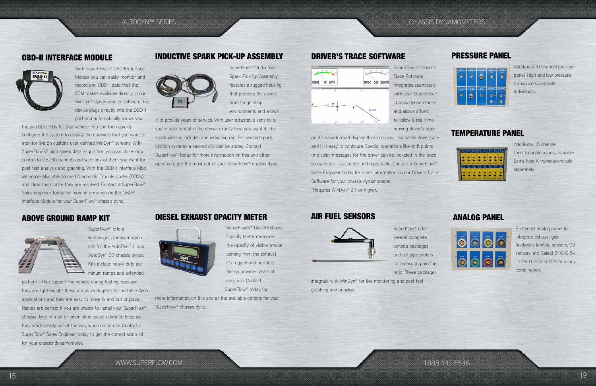

WWW.SUPERFLOW.COM

1.888.442.5546

## ABOVE GROUND RAMP KIT DIESEL EXHAUST OPACITY METER AIR FUEL SENSORS



With SuperFlow's® OBD-II Interface Module you can easily monitor and record any OBD-II data that the ECM makes available directly in our WinDyn® dynamometer software. The device plugs directly into the OBD-II port and automatically shows you

the available PIDs for that vehicle. You can then quickly configure the system to display the channels that you want to monitor live on custom, user-defined WinDyn® screens. With SuperFlow's® high speed data acquisition you can close-loop control to OBD-II channels and save any of them you want for post test analysis and graphing. With the OBD-II Interface Module you're also able to read Diagnostic Trouble Codes (DTC's) and clear them once they are resolved. Contact a SuperFlow® Sales Engineer today for more information on the OBD-II Interface Module for your SuperFlow® chassis dyno.



SuperFlow's® Inductive Spark Pick-Up Assembly features a rugged housing that protects the device from tough shop environments and allows

SuperFlow<sup>®</sup> offers lightweight aluminum ramp kits for the AutoDyn™ 11 and AutoDyn™ 30 chassis dynos. Kits include heavy-duty aluminum ramps and extended

it to provide years of service. With user-adjustable sensitivity you're able to dial in the device exactly how you want it. The spark pick-up includes one inductive clip. For wasted spark ignition systems a second clip can be added. Contact SuperFlow® today for more information on this and other options to get the most out of your SuperFlow® chassis dyno.



more information on this and all the available options for your SuperFlow<sup>®</sup> chassis dyno.



SuperFlow<sup>®</sup> offers several complete lambda packages and tail pipe probes for measuring air/fuel ratio. These packages

SuperFlow's® Driver's Trace Software integrates seamlessly with your SuperFlow® chassis dynamometer and allows drivers to follow a real-time moving driver's trace

on it's easy-to-read display. It can run any .csv based drive cycle and it is easy to configure. Special operations like shift points or display messages for the driver can be included in the trace so each test is accurate and repeatable. Contact a SuperFlow® Sales Engineer today for more information on our Drivers Trace Software for your chassis dynamometer. \*Requires WinDyn® 2.7 or higher.

platforms that support the vehicle during testing. Because they are light-weight these ramps work great for portable dyno applications and they are easy to move in and out of place. Ramps are perfect if you are unable to install your SuperFlow® chassis dyno in a pit or when shop space is limited because they stack neatly out of the way when not in use. Contact a SuperFlow® Sales Engineer today to get the correct ramp kit for your chassis dynamometer.

## OBD-II INTERFACE MODULE INDUCTIVE SPARK PICK-UP ASSEMBLY DRIVER'S TRACE SOFTWARE



SuperFlow's® Diesel Exhaust Opacity Meter measures the opacity of visible smoke coming from the exhaust. It's rugged and portable design provides years of easy use. Contact SuperFlow® today for

integrate with WinDyn® for live monitoring and post test graphing and anaylsis.

## PRESSURE PANEL



## TEMPERATURE PANEL



Additional 10 channel pressure panel. High and low pressure transducers available individually.

Additional 16 channel thermocouple panels available. Extra Type K transducers sold separately.

## ANALOG PANEL



8 channel analog panel to integrate exhaust gas analyzers, lambda sensors, 02 sensors, etc. Select 0-1V, 0-5V, 0-10V, 0-20V or 0-30V in any combination.